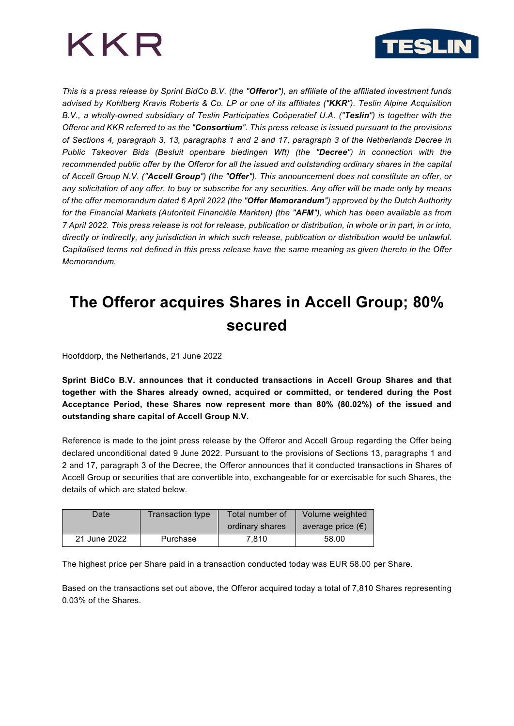



*This is a press release by Sprint BidCo B.V. (the "Offeror"), an affiliate of the affiliated investment funds advised by Kohlberg Kravis Roberts & Co. LP or one of its affiliates ("KKR"). Teslin Alpine Acquisition B.V., a wholly-owned subsidiary of Teslin Participaties Coöperatief U.A. ("Teslin") is together with the Offeror and KKR referred to as the "Consortium". This press release is issued pursuant to the provisions of Sections 4, paragraph 3, 13, paragraphs 1 and 2 and 17, paragraph 3 of the Netherlands Decree in Public Takeover Bids (Besluit openbare biedingen Wft) (the "Decree") in connection with the recommended public offer by the Offeror for all the issued and outstanding ordinary shares in the capital of Accell Group N.V. ("Accell Group") (the "Offer"). This announcement does not constitute an offer, or any solicitation of any offer, to buy or subscribe for any securities. Any offer will be made only by means of the offer memorandum dated 6 April 2022 (the "Offer Memorandum") approved by the Dutch Authority for the Financial Markets (Autoriteit Financiële Markten) (the "AFM"), which has been available as from 7 April 2022. This press release is not for release, publication or distribution, in whole or in part, in or into, directly or indirectly, any jurisdiction in which such release, publication or distribution would be unlawful. Capitalised terms not defined in this press release have the same meaning as given thereto in the Offer Memorandum.*

# **The Offeror acquires Shares in Accell Group; 80% secured**

Hoofddorp, the Netherlands, 21 June 2022

**Sprint BidCo B.V. announces that it conducted transactions in Accell Group Shares and that together with the Shares already owned, acquired or committed, or tendered during the Post Acceptance Period, these Shares now represent more than 80% (80.02%) of the issued and outstanding share capital of Accell Group N.V.**

Reference is made to the joint press release by the Offeror and Accell Group regarding the Offer being declared unconditional dated 9 June 2022. Pursuant to the provisions of Sections 13, paragraphs 1 and 2 and 17, paragraph 3 of the Decree, the Offeror announces that it conducted transactions in Shares of Accell Group or securities that are convertible into, exchangeable for or exercisable for such Shares, the details of which are stated below.

| Date         | Transaction type | Total number of | Volume weighted            |
|--------------|------------------|-----------------|----------------------------|
|              |                  | ordinary shares | average price $(\epsilon)$ |
| 21 June 2022 | Purchase         | 7.810           | 58.00                      |

The highest price per Share paid in a transaction conducted today was EUR 58.00 per Share.

Based on the transactions set out above, the Offeror acquired today a total of 7,810 Shares representing 0.03% of the Shares.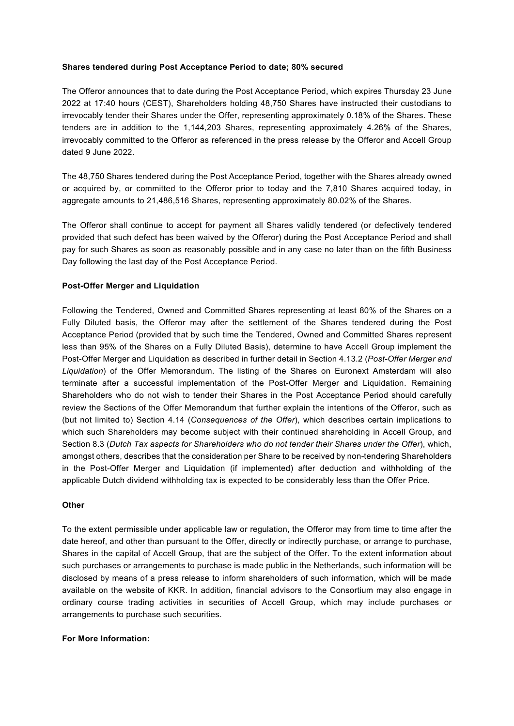# **Shares tendered during Post Acceptance Period to date; 80% secured**

The Offeror announces that to date during the Post Acceptance Period, which expires Thursday 23 June 2022 at 17:40 hours (CEST), Shareholders holding 48,750 Shares have instructed their custodians to irrevocably tender their Shares under the Offer, representing approximately 0.18% of the Shares. These tenders are in addition to the 1,144,203 Shares, representing approximately 4.26% of the Shares, irrevocably committed to the Offeror as referenced in the press release by the Offeror and Accell Group dated 9 June 2022.

The 48,750 Shares tendered during the Post Acceptance Period, together with the Shares already owned or acquired by, or committed to the Offeror prior to today and the 7,810 Shares acquired today, in aggregate amounts to 21,486,516 Shares, representing approximately 80.02% of the Shares.

The Offeror shall continue to accept for payment all Shares validly tendered (or defectively tendered provided that such defect has been waived by the Offeror) during the Post Acceptance Period and shall pay for such Shares as soon as reasonably possible and in any case no later than on the fifth Business Day following the last day of the Post Acceptance Period.

# **Post-Offer Merger and Liquidation**

Following the Tendered, Owned and Committed Shares representing at least 80% of the Shares on a Fully Diluted basis, the Offeror may after the settlement of the Shares tendered during the Post Acceptance Period (provided that by such time the Tendered, Owned and Committed Shares represent less than 95% of the Shares on a Fully Diluted Basis), determine to have Accell Group implement the Post-Offer Merger and Liquidation as described in further detail in Section 4.13.2 (*Post-Offer Merger and Liquidation*) of the Offer Memorandum. The listing of the Shares on Euronext Amsterdam will also terminate after a successful implementation of the Post-Offer Merger and Liquidation. Remaining Shareholders who do not wish to tender their Shares in the Post Acceptance Period should carefully review the Sections of the Offer Memorandum that further explain the intentions of the Offeror, such as (but not limited to) Section 4.14 (*Consequences of the Offer*), which describes certain implications to which such Shareholders may become subject with their continued shareholding in Accell Group, and Section 8.3 (*Dutch Tax aspects for Shareholders who do not tender their Shares under the Offer*), which, amongst others, describes that the consideration per Share to be received by non-tendering Shareholders in the Post-Offer Merger and Liquidation (if implemented) after deduction and withholding of the applicable Dutch dividend withholding tax is expected to be considerably less than the Offer Price.

### **Other**

To the extent permissible under applicable law or regulation, the Offeror may from time to time after the date hereof, and other than pursuant to the Offer, directly or indirectly purchase, or arrange to purchase, Shares in the capital of Accell Group, that are the subject of the Offer. To the extent information about such purchases or arrangements to purchase is made public in the Netherlands, such information will be disclosed by means of a press release to inform shareholders of such information, which will be made available on the website of KKR. In addition, financial advisors to the Consortium may also engage in ordinary course trading activities in securities of Accell Group, which may include purchases or arrangements to purchase such securities.

### **For More Information:**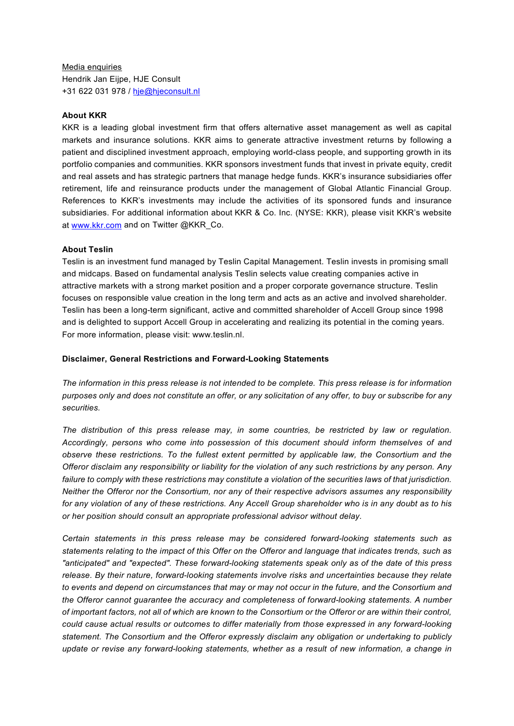Media enquiries Hendrik Jan Eijpe, HJE Consult +31 622 031 978 / [hje@hjeconsult.nl](mailto:hje@hjeconsult.nl)

#### **About KKR**

KKR is a leading global investment firm that offers alternative asset management as well as capital markets and insurance solutions. KKR aims to generate attractive investment returns by following a patient and disciplined investment approach, employing world-class people, and supporting growth in its portfolio companies and communities. KKR sponsors investment funds that invest in private equity, credit and real assets and has strategic partners that manage hedge funds. KKR's insurance subsidiaries offer retirement, life and reinsurance products under the management of Global Atlantic Financial Group. References to KKR's investments may include the activities of its sponsored funds and insurance subsidiaries. For additional information about KKR & Co. Inc. (NYSE: KKR), please visit KKR's website at [www.kkr.com](https://cts.businesswire.com/ct/CT?id=smartlink&url=http%3A%2F%2Fwww.kkr.com&esheet=52556806&newsitemid=20220103005354&lan=en-US&anchor=www.kkr.com&index=1&md5=f2801c6375742f0f9aa380c73a980104) and on Twitter @KKR\_Co.

#### **About Teslin**

Teslin is an investment fund managed by Teslin Capital Management. Teslin invests in promising small and midcaps. Based on fundamental analysis Teslin selects value creating companies active in attractive markets with a strong market position and a proper corporate governance structure. Teslin focuses on responsible value creation in the long term and acts as an active and involved shareholder. Teslin has been a long-term significant, active and committed shareholder of Accell Group since 1998 and is delighted to support Accell Group in accelerating and realizing its potential in the coming years. For more information, please visit: www.teslin.nl.

#### **Disclaimer, General Restrictions and Forward-Looking Statements**

*The information in this press release is not intended to be complete. This press release is for information purposes only and does not constitute an offer, or any solicitation of any offer, to buy or subscribe for any securities.* 

*The distribution of this press release may, in some countries, be restricted by law or regulation. Accordingly, persons who come into possession of this document should inform themselves of and observe these restrictions. To the fullest extent permitted by applicable law, the Consortium and the Offeror disclaim any responsibility or liability for the violation of any such restrictions by any person. Any failure to comply with these restrictions may constitute a violation of the securities laws of that jurisdiction. Neither the Offeror nor the Consortium, nor any of their respective advisors assumes any responsibility for any violation of any of these restrictions. Any Accell Group shareholder who is in any doubt as to his or her position should consult an appropriate professional advisor without delay.* 

*Certain statements in this press release may be considered forward-looking statements such as statements relating to the impact of this Offer on the Offeror and language that indicates trends, such as "anticipated" and "expected". These forward-looking statements speak only as of the date of this press release. By their nature, forward-looking statements involve risks and uncertainties because they relate to events and depend on circumstances that may or may not occur in the future, and the Consortium and the Offeror cannot guarantee the accuracy and completeness of forward-looking statements. A number of important factors, not all of which are known to the Consortium or the Offeror or are within their control, could cause actual results or outcomes to differ materially from those expressed in any forward-looking statement. The Consortium and the Offeror expressly disclaim any obligation or undertaking to publicly update or revise any forward-looking statements, whether as a result of new information, a change in*